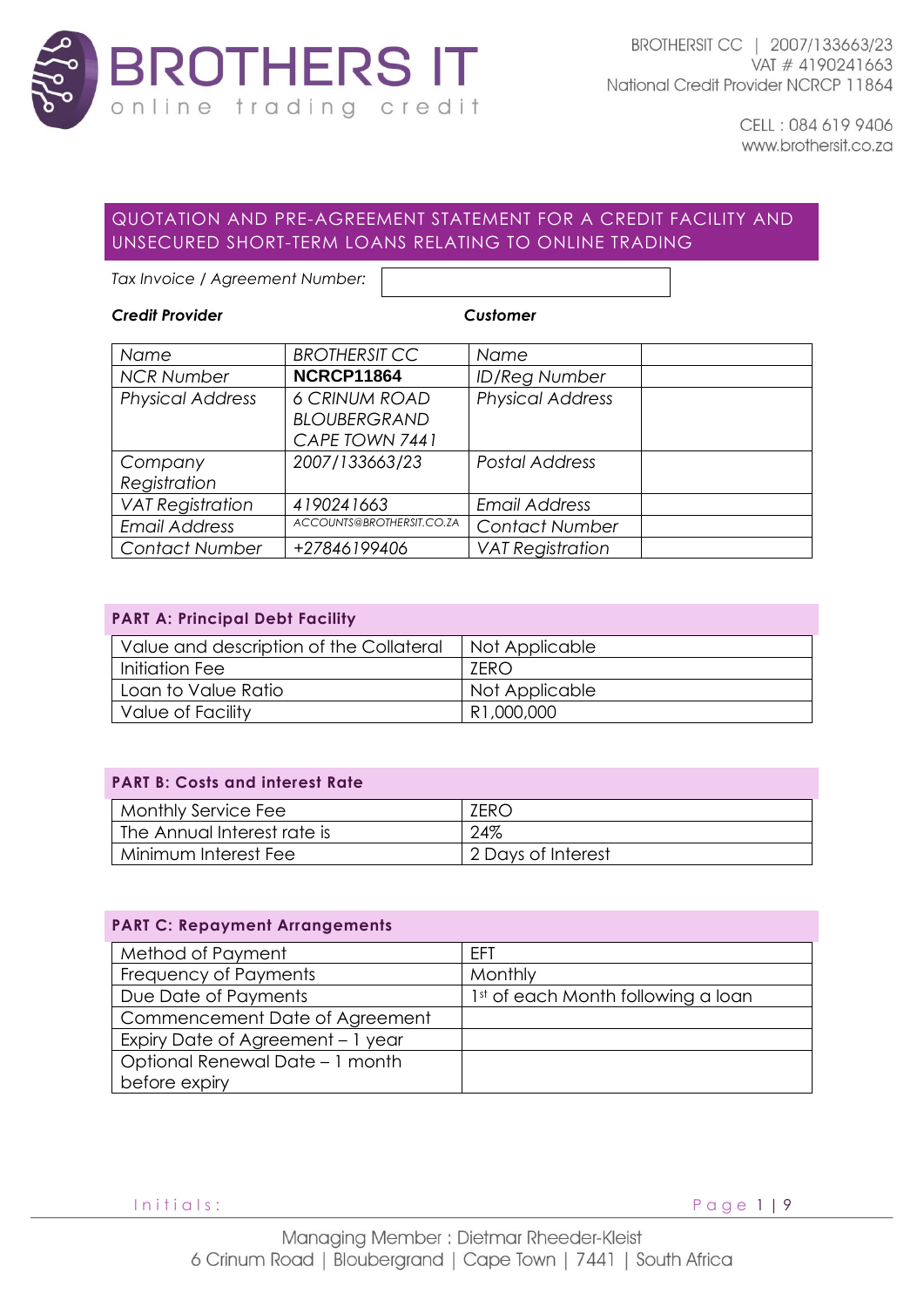

# QUOTATION AND PRE-AGREEMENT STATEMENT FOR A CREDIT FACILITY AND UNSECURED SHORT-TERM LOANS RELATING TO ONLINE TRADING

*Tax Invoice / Agreement Number:* 

## *Credit Provider Customer*

| Name                    | <b>BROTHERSIT CC</b>      | Name                    |  |
|-------------------------|---------------------------|-------------------------|--|
| <b>NCR Number</b>       | <b>NCRCP11864</b>         | <b>ID/Reg Number</b>    |  |
| <b>Physical Address</b> | <b>6 CRINUM ROAD</b>      | <b>Physical Address</b> |  |
|                         | <b>BLOUBERGRAND</b>       |                         |  |
|                         | CAPE TOWN 7441            |                         |  |
| Company                 | 2007/133663/23            | <b>Postal Address</b>   |  |
| Registration            |                           |                         |  |
| <b>VAT Registration</b> | 4190241663                | <b>Email Address</b>    |  |
| <b>Email Address</b>    | ACCOUNTS@BROTHERSIT.CO.ZA | <b>Contact Number</b>   |  |
| <b>Contact Number</b>   | +27846199406              | <b>VAT Registration</b> |  |

|  |  |  | <b>PART A: Principal Debt Facility</b> |
|--|--|--|----------------------------------------|
|  |  |  |                                        |

| Value and description of the Collateral | Not Applicable |
|-----------------------------------------|----------------|
| Initiation Fee                          | 7FRO           |
| Loan to Value Ratio                     | Not Applicable |
| Value of Facility                       | R1,000,000     |

## **PART B: Costs and interest Rate**

| Monthly Service Fee         | ZERC               |
|-----------------------------|--------------------|
| The Annual Interest rate is | 24%                |
| Minimum Interest Fee        | 2 Days of Interest |

#### **PART C: Repayment Arrangements**

| Method of Payment                 | <b>FFT</b>                         |
|-----------------------------------|------------------------------------|
| Frequency of Payments             | Monthly                            |
| Due Date of Payments              | 1st of each Month following a loan |
| Commencement Date of Agreement    |                                    |
| Expiry Date of Agreement - 1 year |                                    |
| Optional Renewal Date - 1 month   |                                    |
| before expiry                     |                                    |

Initials: Page 1 | 9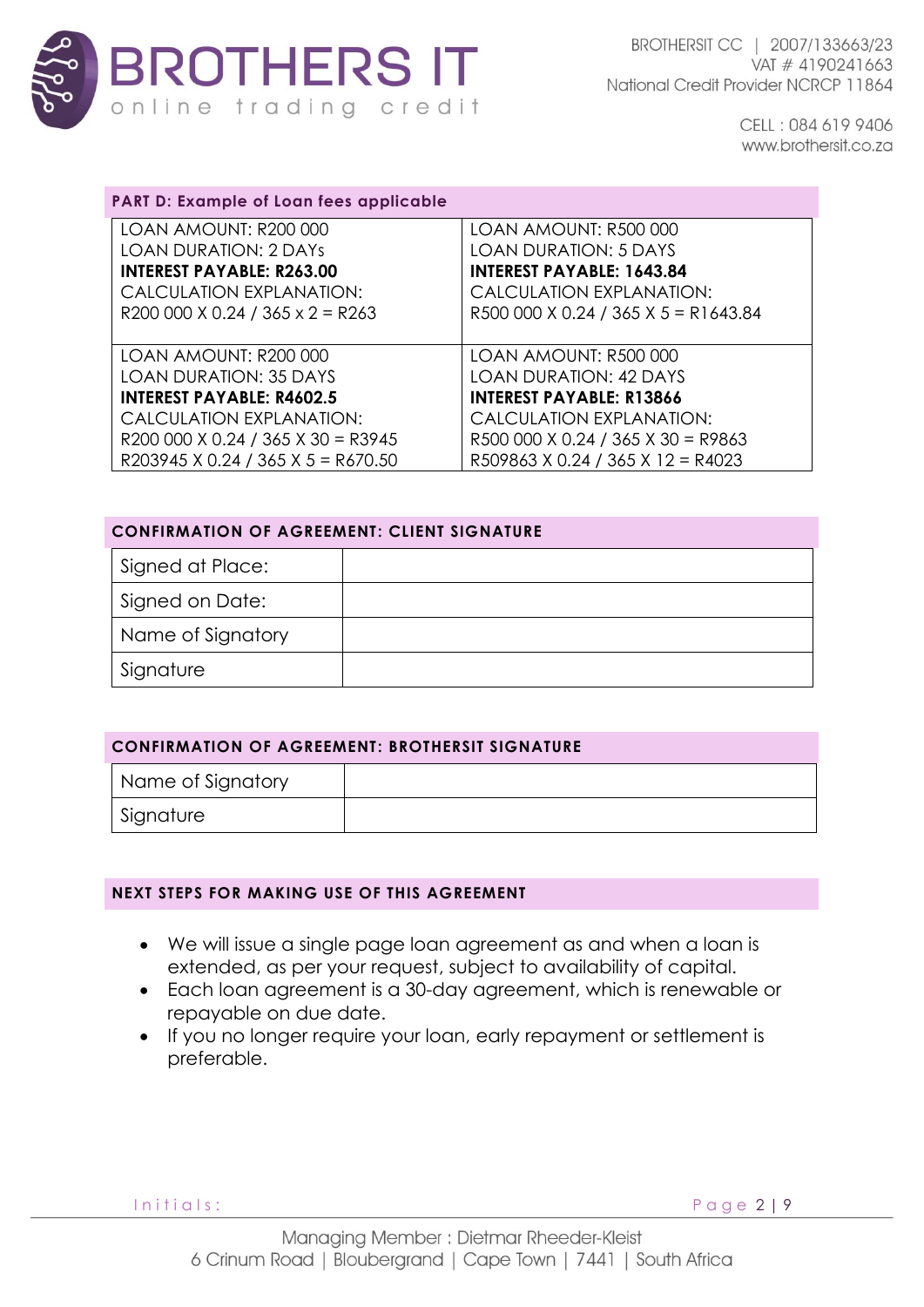

| <b>PART D: Example of Loan fees applicable</b> |                                      |
|------------------------------------------------|--------------------------------------|
| LOAN AMOUNT: R200 000                          | LOAN AMOUNT: R500 000                |
| <b>LOAN DURATION: 2 DAYS</b>                   | <b>LOAN DURATION: 5 DAYS</b>         |
| <b>INTEREST PAYABLE: R263.00</b>               | <b>INTEREST PAYABLE: 1643.84</b>     |
| CALCULATION EXPLANATION:                       | CALCULATION EXPLANATION:             |
| R200 000 X 0.24 / 365 x 2 = R263               | R500 000 X 0.24 / 365 X 5 = R1643.84 |
|                                                |                                      |
| LOAN AMOUNT: R200 000                          | LOAN AMOUNT: R500 000                |
| <b>LOAN DURATION: 35 DAYS</b>                  | <b>LOAN DURATION: 42 DAYS</b>        |
| <b>INTEREST PAYABLE: R4602.5</b>               | <b>INTEREST PAYABLE: R13866</b>      |
| CALCULATION EXPLANATION:                       | CALCULATION EXPLANATION:             |
| R200 000 X 0.24 / 365 X 30 = R3945             | R500 000 X 0.24 / 365 X 30 = R9863   |
| R203945 X 0.24 / 365 X 5 = R670.50             | R509863 X 0.24 / 365 X 12 = R4023    |

| <b>CONFIRMATION OF AGREEMENT: CLIENT SIGNATURE</b> |  |  |
|----------------------------------------------------|--|--|
| Signed at Place:                                   |  |  |
| Signed on Date:                                    |  |  |
| Name of Signatory                                  |  |  |
| Signature                                          |  |  |

| <b>CONFIRMATION OF AGREEMENT: BROTHERSIT SIGNATURE</b> |  |  |
|--------------------------------------------------------|--|--|
| Name of Signatory                                      |  |  |
| Signature                                              |  |  |

### **NEXT STEPS FOR MAKING USE OF THIS AGREEMENT**

- We will issue a single page loan agreement as and when a loan is extended, as per your request, subject to availability of capital.
- Each loan agreement is a 30-day agreement, which is renewable or repayable on due date.
- If you no longer require your loan, early repayment or settlement is preferable.

Initials: Page 2 | 9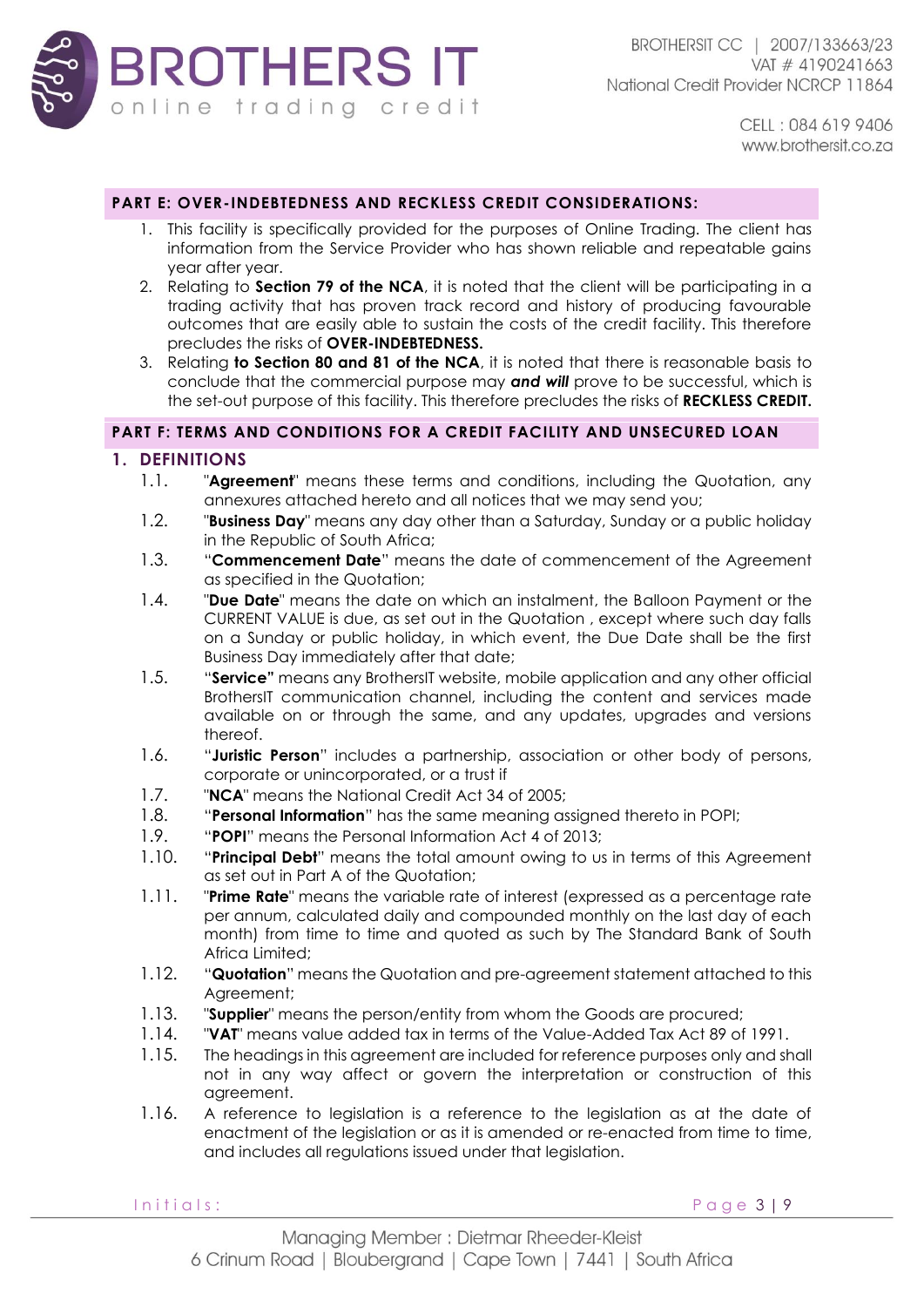

#### **PART E: OVER-INDEBTEDNESS AND RECKLESS CREDIT CONSIDERATIONS:**

- 1. This facility is specifically provided for the purposes of Online Trading. The client has information from the Service Provider who has shown reliable and repeatable gains year after year.
- 2. Relating to **Section 79 of the NCA**, it is noted that the client will be participating in a trading activity that has proven track record and history of producing favourable outcomes that are easily able to sustain the costs of the credit facility. This therefore precludes the risks of **OVER-INDEBTEDNESS.**
- 3. Relating **to Section 80 and 81 of the NCA**, it is noted that there is reasonable basis to conclude that the commercial purpose may *and will* prove to be successful, which is the set-out purpose of this facility. This therefore precludes the risks of **RECKLESS CREDIT.**

### **PART F: TERMS AND CONDITIONS FOR A CREDIT FACILITY AND UNSECURED LOAN**

#### **1. DEFINITIONS**

- 1.1. "**Agreement**" means these terms and conditions, including the Quotation, any annexures attached hereto and all notices that we may send you;
- 1.2. "**Business Day**" means any day other than a Saturday, Sunday or a public holiday in the Republic of South Africa;
- 1.3. "**Commencement Date**" means the date of commencement of the Agreement as specified in the Quotation;
- 1.4. "**Due Date**" means the date on which an instalment, the Balloon Payment or the CURRENT VALUE is due, as set out in the Quotation , except where such day falls on a Sunday or public holiday, in which event, the Due Date shall be the first Business Day immediately after that date;
- 1.5. "**Service"** means any BrothersIT website, mobile application and any other official BrothersIT communication channel, including the content and services made available on or through the same, and any updates, upgrades and versions thereof.
- 1.6. "**Juristic Person**" includes a partnership, association or other body of persons, corporate or unincorporated, or a trust if
- 1.7. "**NCA**" means the National Credit Act 34 of 2005;
- 1.8. "**Personal Information**" has the same meaning assigned thereto in POPI;
- 1.9. "**POPI**" means the Personal Information Act 4 of 2013;
- 1.10. "**Principal Debt**" means the total amount owing to us in terms of this Agreement as set out in Part A of the Quotation;
- 1.11. "**Prime Rate**" means the variable rate of interest (expressed as a percentage rate per annum, calculated daily and compounded monthly on the last day of each month) from time to time and quoted as such by The Standard Bank of South Africa Limited;
- 1.12. "**Quotation**" means the Quotation and pre-agreement statement attached to this Agreement;
- 1.13. "**Supplier**" means the person/entity from whom the Goods are procured;
- 1.14. "**VAT**" means value added tax in terms of the Value-Added Tax Act 89 of 1991.
- 1.15. The headings in this agreement are included for reference purposes only and shall not in any way affect or govern the interpretation or construction of this agreement.
- 1.16. A reference to legislation is a reference to the legislation as at the date of enactment of the legislation or as it is amended or re-enacted from time to time, and includes all regulations issued under that legislation.

Initials: Page 3 | 9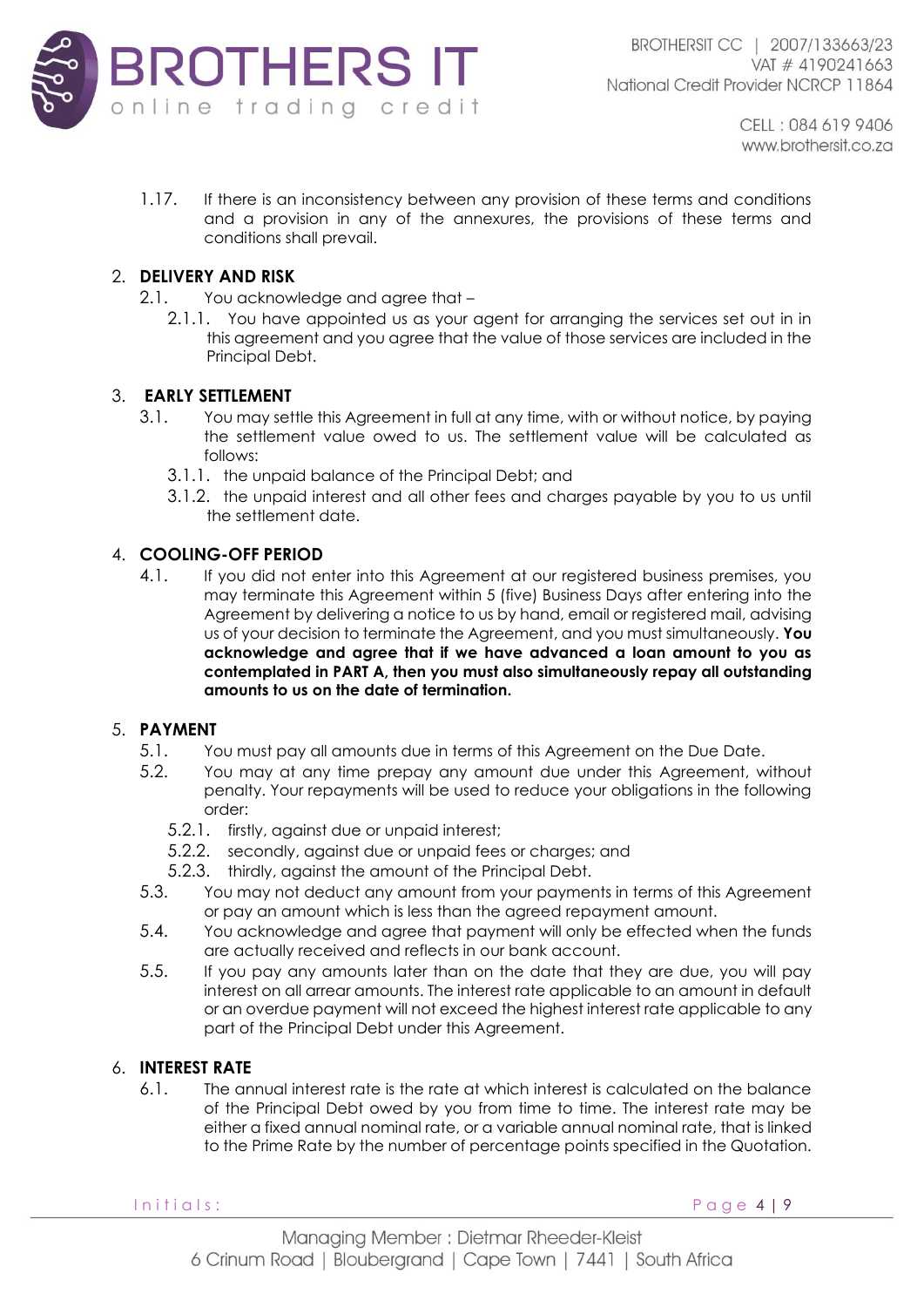

1.17. If there is an inconsistency between any provision of these terms and conditions and a provision in any of the annexures, the provisions of these terms and conditions shall prevail.

## 2. **DELIVERY AND RISK**

2.1. You acknowledge and agree that –

2.1.1. You have appointed us as your agent for arranging the services set out in in this agreement and you agree that the value of those services are included in the Principal Debt.

## 3. **EARLY SETTLEMENT**

- 3.1. You may settle this Agreement in full at any time, with or without notice, by paying the settlement value owed to us. The settlement value will be calculated as follows:
	- 3.1.1. the unpaid balance of the Principal Debt; and
	- 3.1.2. the unpaid interest and all other fees and charges payable by you to us until the settlement date.

## 4. **COOLING-OFF PERIOD**

4.1. If you did not enter into this Agreement at our registered business premises, you may terminate this Agreement within 5 (five) Business Days after entering into the Agreement by delivering a notice to us by hand, email or registered mail, advising us of your decision to terminate the Agreement, and you must simultaneously. **You acknowledge and agree that if we have advanced a loan amount to you as contemplated in PART A, then you must also simultaneously repay all outstanding amounts to us on the date of termination.**

## 5. **PAYMENT**

- 5.1. You must pay all amounts due in terms of this Agreement on the Due Date.
- 5.2. You may at any time prepay any amount due under this Agreement, without penalty. Your repayments will be used to reduce your obligations in the following order:
	- 5.2.1. firstly, against due or unpaid interest;
	- 5.2.2. secondly, against due or unpaid fees or charges; and
	- 5.2.3. thirdly, against the amount of the Principal Debt.
- 5.3. You may not deduct any amount from your payments in terms of this Agreement or pay an amount which is less than the agreed repayment amount.
- 5.4. You acknowledge and agree that payment will only be effected when the funds are actually received and reflects in our bank account.
- 5.5. If you pay any amounts later than on the date that they are due, you will pay interest on all arrear amounts. The interest rate applicable to an amount in default or an overdue payment will not exceed the highest interest rate applicable to any part of the Principal Debt under this Agreement.

## 6. **INTEREST RATE**

6.1. The annual interest rate is the rate at which interest is calculated on the balance of the Principal Debt owed by you from time to time. The interest rate may be either a fixed annual nominal rate, or a variable annual nominal rate, that is linked to the Prime Rate by the number of percentage points specified in the Quotation.

Initials: Page 4 | 9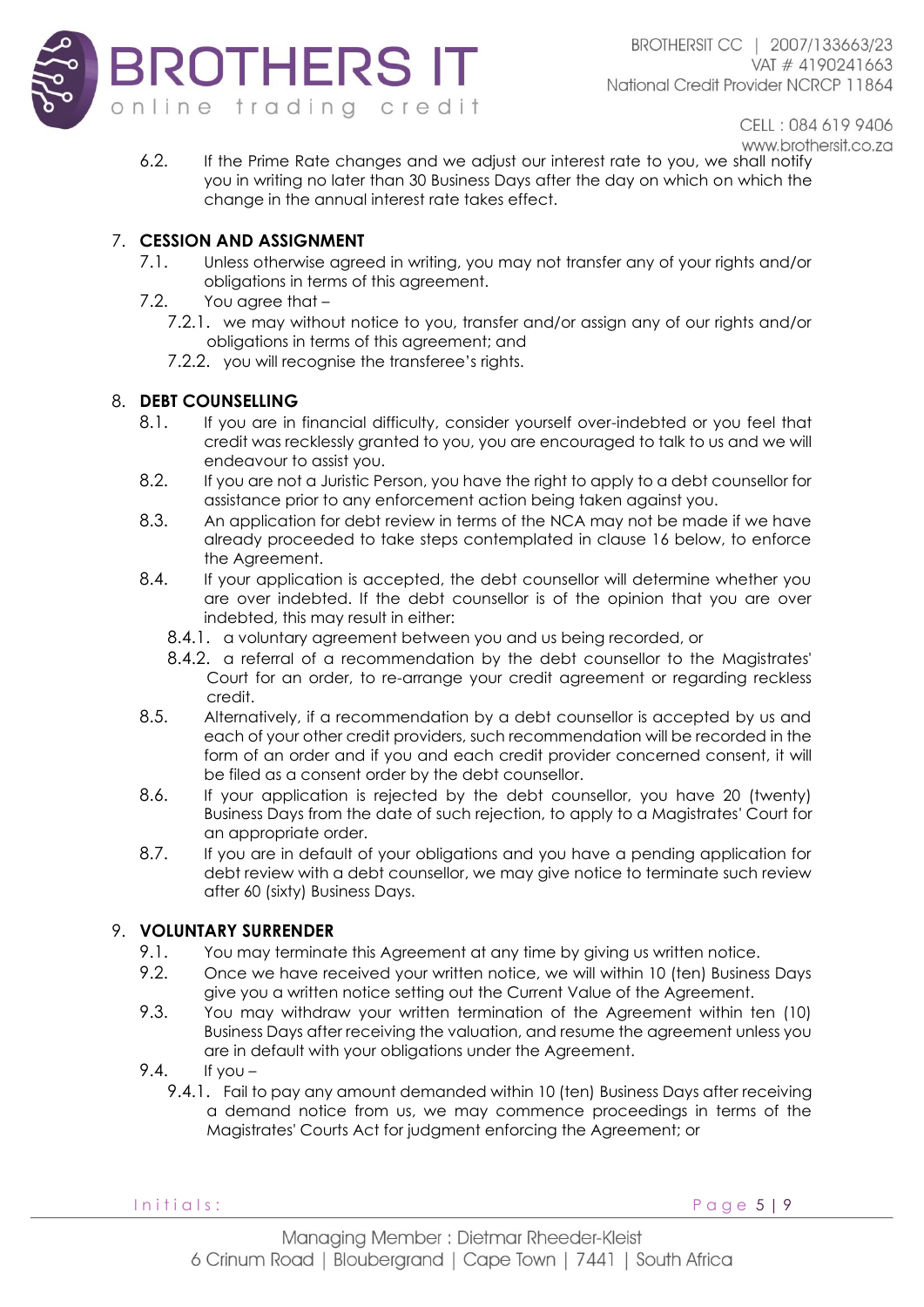

6.2. If the Prime Rate changes and we adjust our interest rate to you, we shall notify you in writing no later than 30 Business Days after the day on which on which the change in the annual interest rate takes effect.

## 7. **CESSION AND ASSIGNMENT**

- 7.1. Unless otherwise agreed in writing, you may not transfer any of your rights and/or obligations in terms of this agreement.
- 7.2. You agree that
	- 7.2.1. we may without notice to you, transfer and/or assign any of our rights and/or obligations in terms of this agreement; and
		- 7.2.2. you will recognise the transferee's rights.

## 8. **DEBT COUNSELLING**

- 8.1. If you are in financial difficulty, consider yourself over-indebted or you feel that credit was recklessly granted to you, you are encouraged to talk to us and we will endeavour to assist you.
- 8.2. If you are not a Juristic Person, you have the right to apply to a debt counsellor for assistance prior to any enforcement action being taken against you.
- 8.3. An application for debt review in terms of the NCA may not be made if we have already proceeded to take steps contemplated in clause 16 below, to enforce the Agreement.
- 8.4. If your application is accepted, the debt counsellor will determine whether you are over indebted. If the debt counsellor is of the opinion that you are over indebted, this may result in either:
	- 8.4.1. a voluntary agreement between you and us being recorded, or
	- 8.4.2. a referral of a recommendation by the debt counsellor to the Magistrates' Court for an order, to re-arrange your credit agreement or regarding reckless credit.
- 8.5. Alternatively, if a recommendation by a debt counsellor is accepted by us and each of your other credit providers, such recommendation will be recorded in the form of an order and if you and each credit provider concerned consent, it will be filed as a consent order by the debt counsellor.
- 8.6. If your application is rejected by the debt counsellor, you have 20 (twenty) Business Days from the date of such rejection, to apply to a Magistrates' Court for an appropriate order.
- 8.7. If you are in default of your obligations and you have a pending application for debt review with a debt counsellor, we may give notice to terminate such review after 60 (sixty) Business Days.

## 9. **VOLUNTARY SURRENDER**

- 9.1. You may terminate this Agreement at any time by giving us written notice.
- 9.2. Once we have received your written notice, we will within 10 (ten) Business Days give you a written notice setting out the Current Value of the Agreement.
- 9.3. You may withdraw your written termination of the Agreement within ten (10) Business Days after receiving the valuation, and resume the agreement unless you are in default with your obligations under the Agreement.
- 9.4. If you
	- 9.4.1. Fail to pay any amount demanded within 10 (ten) Business Days after receiving a demand notice from us, we may commence proceedings in terms of the Magistrates' Courts Act for judgment enforcing the Agreement; or

I n i t i a l s : P a g e 5 | 9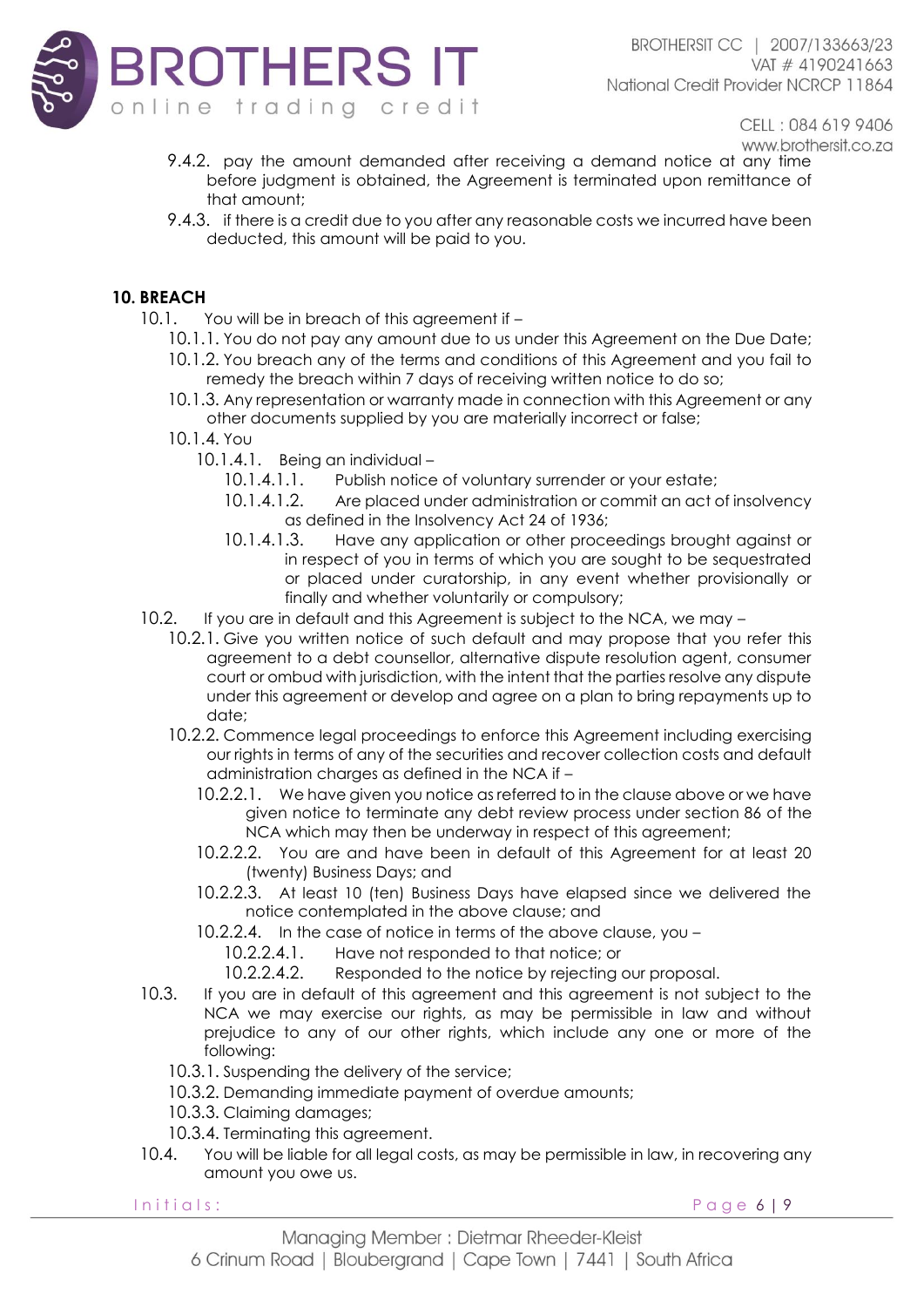

- CELL: 084 619 9406 www.brothersit.co.za
- 9.4.2. pay the amount demanded after receiving a demand notice at any time before judgment is obtained, the Agreement is terminated upon remittance of that amount;
- 9.4.3. if there is a credit due to you after any reasonable costs we incurred have been deducted, this amount will be paid to you.

# **10. BREACH**

- 10.1. You will be in breach of this agreement if -
	- 10.1.1. You do not pay any amount due to us under this Agreement on the Due Date;
	- 10.1.2. You breach any of the terms and conditions of this Agreement and you fail to remedy the breach within 7 days of receiving written notice to do so;
	- 10.1.3. Any representation or warranty made in connection with this Agreement or any other documents supplied by you are materially incorrect or false;
	- 10.1.4. You
		- 10.1.4.1. Being an individual
			- 10.1.4.1.1. Publish notice of voluntary surrender or your estate;
			- 10.1.4.1.2. Are placed under administration or commit an act of insolvency as defined in the Insolvency Act 24 of 1936;
			- 10.1.4.1.3. Have any application or other proceedings brought against or in respect of you in terms of which you are sought to be sequestrated or placed under curatorship, in any event whether provisionally or finally and whether voluntarily or compulsory;
- 10.2. If you are in default and this Agreement is subject to the NCA, we may
	- 10.2.1. Give you written notice of such default and may propose that you refer this agreement to a debt counsellor, alternative dispute resolution agent, consumer court or ombud with jurisdiction, with the intent that the parties resolve any dispute under this agreement or develop and agree on a plan to bring repayments up to date;
	- 10.2.2. Commence legal proceedings to enforce this Agreement including exercising our rights in terms of any of the securities and recover collection costs and default administration charges as defined in the NCA if –
		- 10.2.2.1. We have given you notice as referred to in the clause above or we have given notice to terminate any debt review process under section 86 of the NCA which may then be underway in respect of this agreement;
		- 10.2.2.2. You are and have been in default of this Agreement for at least 20 (twenty) Business Days; and
		- 10.2.2.3. At least 10 (ten) Business Days have elapsed since we delivered the notice contemplated in the above clause; and
		- 10.2.2.4. In the case of notice in terms of the above clause, you –

10.2.2.4.1. Have not responded to that notice; or

- 10.2.2.4.2. Responded to the notice by rejecting our proposal.
- 10.3. If you are in default of this agreement and this agreement is not subject to the NCA we may exercise our rights, as may be permissible in law and without prejudice to any of our other rights, which include any one or more of the following:
	- 10.3.1. Suspending the delivery of the service;
	- 10.3.2. Demanding immediate payment of overdue amounts;
	- 10.3.3. Claiming damages;
	- 10.3.4. Terminating this agreement.
- 10.4. You will be liable for all legal costs, as may be permissible in law, in recovering any amount you owe us.

I n i t i a l s : P a g e 6 | 9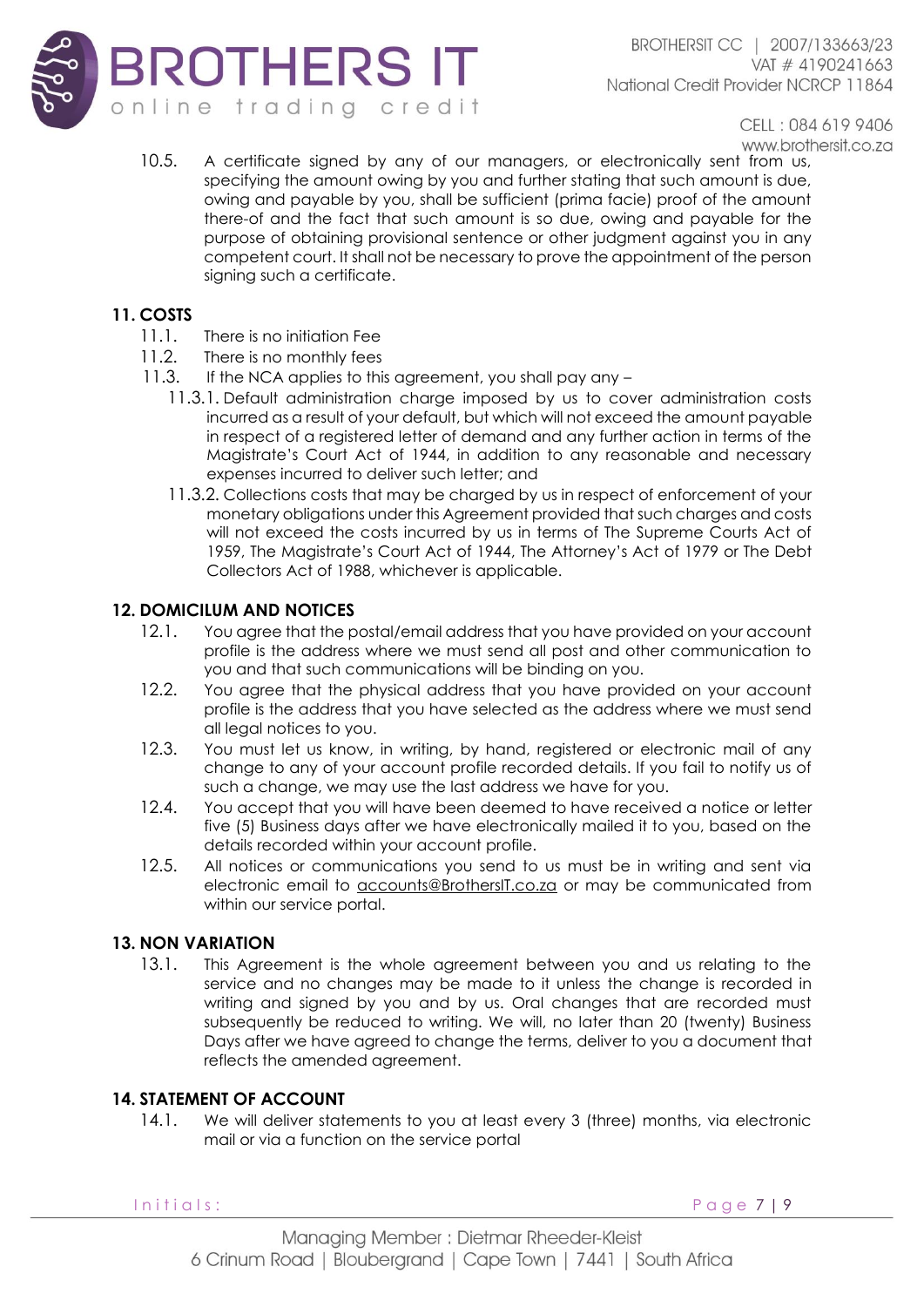

10.5. A certificate signed by any of our managers, or electronically sent from us, specifying the amount owing by you and further stating that such amount is due, owing and payable by you, shall be sufficient (prima facie) proof of the amount there-of and the fact that such amount is so due, owing and payable for the purpose of obtaining provisional sentence or other judgment against you in any competent court. It shall not be necessary to prove the appointment of the person signing such a certificate.

# **11. COSTS**

- 11.1. There is no initiation Fee
- 11.2. There is no monthly fees
- 11.3. If the NCA applies to this agreement, you shall pay any
	- 11.3.1. Default administration charge imposed by us to cover administration costs incurred as a result of your default, but which will not exceed the amount payable in respect of a registered letter of demand and any further action in terms of the Magistrate's Court Act of 1944, in addition to any reasonable and necessary expenses incurred to deliver such letter; and
	- 11.3.2. Collections costs that may be charged by us in respect of enforcement of your monetary obligations under this Agreement provided that such charges and costs will not exceed the costs incurred by us in terms of The Supreme Courts Act of 1959, The Magistrate's Court Act of 1944, The Attorney's Act of 1979 or The Debt Collectors Act of 1988, whichever is applicable.

# **12. DOMICILUM AND NOTICES**

- 12.1. You agree that the postal/email address that you have provided on your account profile is the address where we must send all post and other communication to you and that such communications will be binding on you.
- 12.2. You agree that the physical address that you have provided on your account profile is the address that you have selected as the address where we must send all legal notices to you.
- 12.3. You must let us know, in writing, by hand, registered or electronic mail of any change to any of your account profile recorded details. If you fail to notify us of such a change, we may use the last address we have for you.
- 12.4. You accept that you will have been deemed to have received a notice or letter five (5) Business days after we have electronically mailed it to you, based on the details recorded within your account profile.
- 12.5. All notices or communications you send to us must be in writing and sent via electronic email to [accounts@BrothersIT.co.za](mailto:accounts@coinstash.co.za) or may be communicated from within our service portal.

# **13. NON VARIATION**

13.1. This Agreement is the whole agreement between you and us relating to the service and no changes may be made to it unless the change is recorded in writing and signed by you and by us. Oral changes that are recorded must subsequently be reduced to writing. We will, no later than 20 (twenty) Business Days after we have agreed to change the terms, deliver to you a document that reflects the amended agreement.

# **14. STATEMENT OF ACCOUNT**

14.1. We will deliver statements to you at least every 3 (three) months, via electronic mail or via a function on the service portal

Initials: Page 7 | 9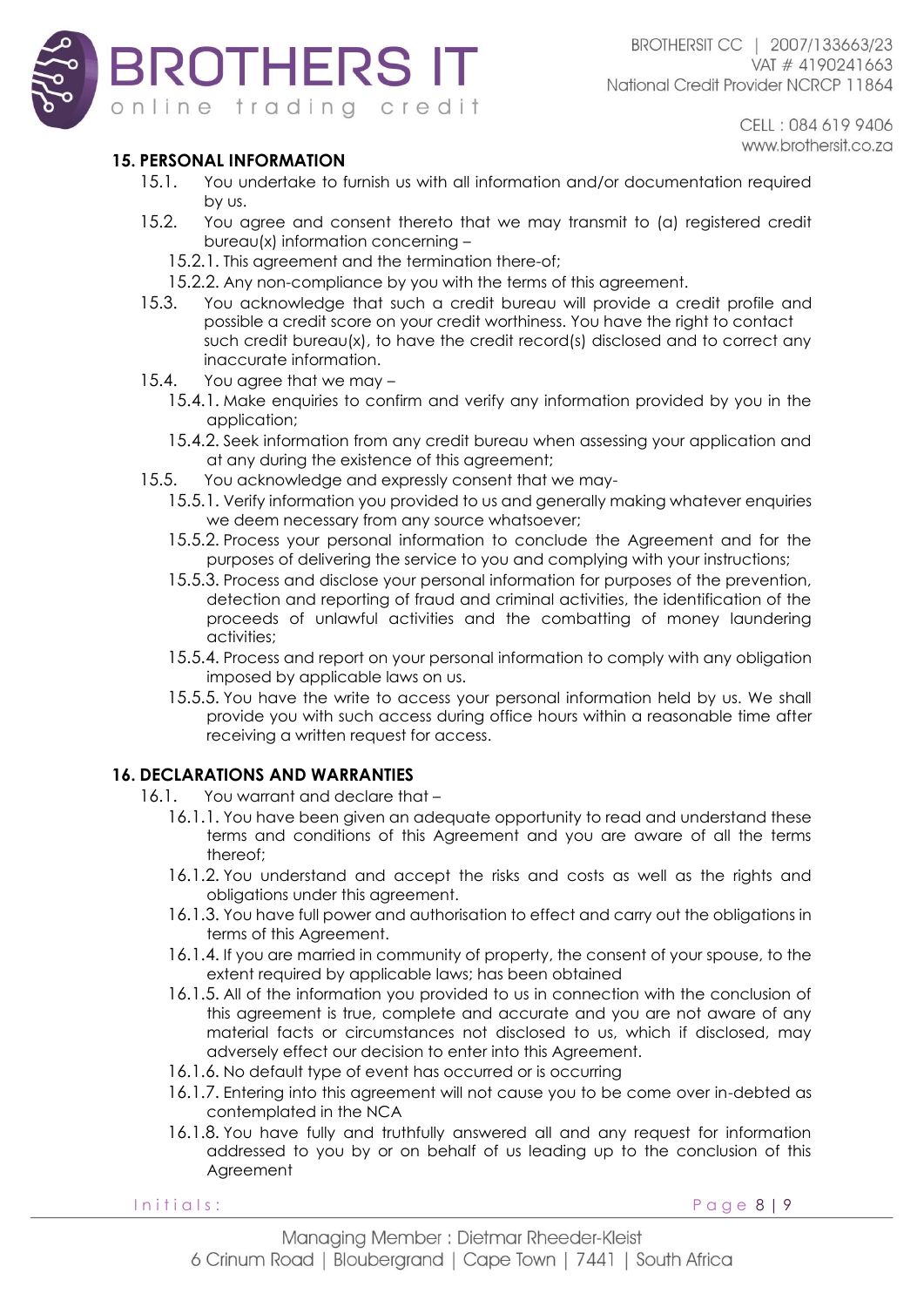

# **15. PERSONAL INFORMATION**

- 15.1. You undertake to furnish us with all information and/or documentation required by us.
- 15.2. You agree and consent thereto that we may transmit to (a) registered credit bureau(x) information concerning –
	- 15.2.1. This agreement and the termination there-of;
	- 15.2.2. Any non-compliance by you with the terms of this agreement.
- 15.3. You acknowledge that such a credit bureau will provide a credit profile and possible a credit score on your credit worthiness. You have the right to contact such credit bureau(x), to have the credit record(s) disclosed and to correct any inaccurate information.
- 15.4. You agree that we may
	- 15.4.1. Make enquiries to confirm and verify any information provided by you in the application;
	- 15.4.2. Seek information from any credit bureau when assessing your application and at any during the existence of this agreement;
- 15.5. You acknowledge and expressly consent that we may-
	- 15.5.1. Verify information you provided to us and generally making whatever enquiries we deem necessary from any source whatsoever;
	- 15.5.2. Process your personal information to conclude the Agreement and for the purposes of delivering the service to you and complying with your instructions;
	- 15.5.3. Process and disclose your personal information for purposes of the prevention, detection and reporting of fraud and criminal activities, the identification of the proceeds of unlawful activities and the combatting of money laundering activities;
	- 15.5.4. Process and report on your personal information to comply with any obligation imposed by applicable laws on us.
	- 15.5.5. You have the write to access your personal information held by us. We shall provide you with such access during office hours within a reasonable time after receiving a written request for access.

# **16. DECLARATIONS AND WARRANTIES**

- 16.1. You warrant and declare that
	- 16.1.1. You have been given an adequate opportunity to read and understand these terms and conditions of this Agreement and you are aware of all the terms thereof;
	- 16.1.2. You understand and accept the risks and costs as well as the rights and obligations under this agreement.
	- 16.1.3. You have full power and authorisation to effect and carry out the obligations in terms of this Agreement.
	- 16.1.4. If you are married in community of property, the consent of your spouse, to the extent required by applicable laws; has been obtained
	- 16.1.5. All of the information you provided to us in connection with the conclusion of this agreement is true, complete and accurate and you are not aware of any material facts or circumstances not disclosed to us, which if disclosed, may adversely effect our decision to enter into this Agreement.
	- 16.1.6. No default type of event has occurred or is occurring
	- 16.1.7. Entering into this agreement will not cause you to be come over in-debted as contemplated in the NCA
	- 16.1.8. You have fully and truthfully answered all and any request for information addressed to you by or on behalf of us leading up to the conclusion of this **Agreement**